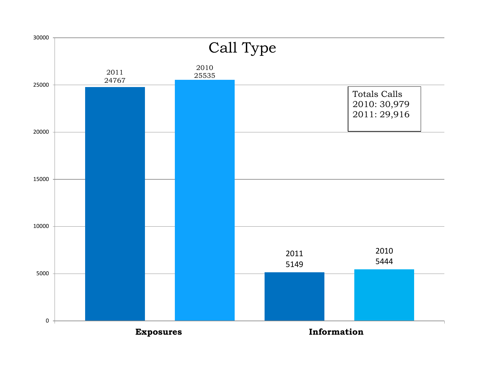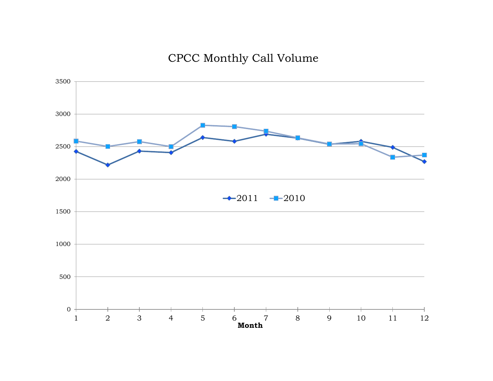## CPCC Monthly Call Volume

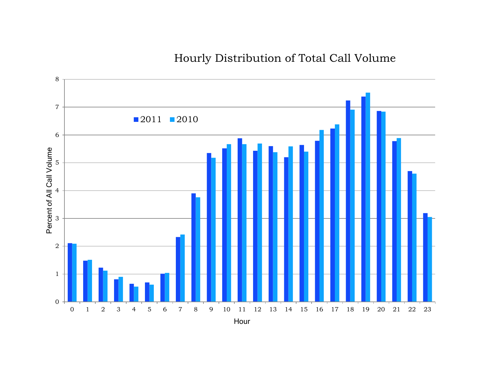Hourly Distribution of Total Call Volume

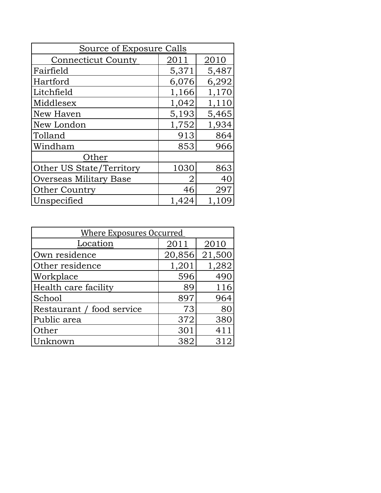| Source of Exposure Calls  |       |       |  |
|---------------------------|-------|-------|--|
| <b>Connecticut County</b> | 2011  | 2010  |  |
| Fairfield                 | 5,371 | 5,487 |  |
| Hartford                  | 6,076 | 6,292 |  |
| Litchfield                | 1,166 | 1,170 |  |
| Middlesex                 | 1,042 | 1,110 |  |
| New Haven                 | 5,193 | 5,465 |  |
| New London                | 1,752 | 1,934 |  |
| Tolland                   | 913   | 864   |  |
| Windham                   | 853   | 966   |  |
| Other                     |       |       |  |
| Other US State/Territory  | 1030  | 863   |  |
| Overseas Military Base    | 2     | 40    |  |
| <b>Other Country</b>      | 46    | 297   |  |
| Unspecified               | 1,424 | 1,109 |  |

| <b>Where Exposures Occurred</b> |        |        |  |
|---------------------------------|--------|--------|--|
| Location                        | 2011   | 2010   |  |
| Own residence                   | 20,856 | 21,500 |  |
| Other residence                 | 1,201  | 1,282  |  |
| Workplace                       | 596    | 490    |  |
| Health care facility            | 89     | 116    |  |
| School                          | 897    | 964    |  |
| Restaurant / food service       | 73     | 80     |  |
| Public area                     | 372    | 380    |  |
| Other                           | 301    | 411    |  |
| Unknown                         | 382    | 312    |  |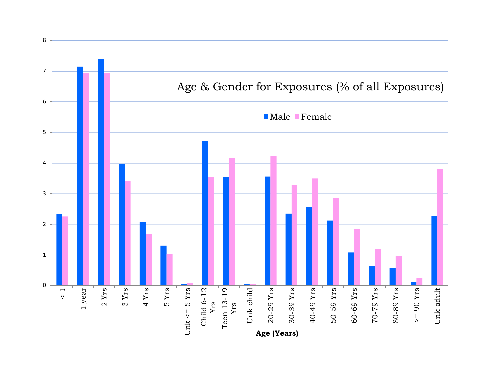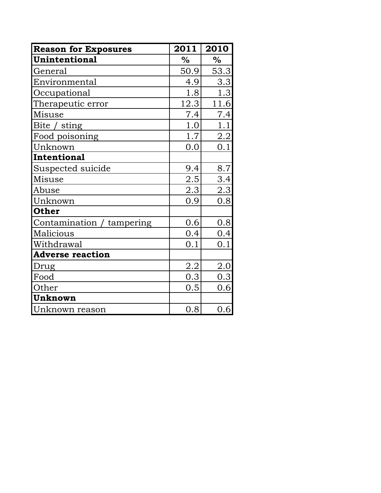| <b>Reason for Exposures</b> | 2011          | 2010          |
|-----------------------------|---------------|---------------|
| <b>Unintentional</b>        | $\frac{0}{0}$ | $\frac{0}{0}$ |
| General                     | 50.9          | 53.3          |
| Environmental               | 4.9           | 3.3           |
| Occupational                | 1.8           | 1.3           |
| Therapeutic error           | 12.3          | 11.6          |
| Misuse                      | 7.4           | 7.4           |
| Bite $\angle$ sting         | 1.0           | 1.1           |
| Food poisoning              | 1.7           | 2.2           |
| Unknown                     | 0.0           | 0.1           |
| Intentional                 |               |               |
| Suspected suicide           | 9.4           | 8.7           |
| Misuse                      | 2.5           | 3.4           |
| Abuse                       | 2.3           | 2.3           |
| Unknown                     | 0.9           | 0.8           |
| <b>Other</b>                |               |               |
| Contamination / tampering   | 0.6           | 0.8           |
| Malicious                   | 0.4           | 0.4           |
| Withdrawal                  | 0.1           | 0.1           |
| <b>Adverse reaction</b>     |               |               |
| Drug                        | <u>2.2</u>    | 2.0           |
| Food                        | 0.3           | 0.3           |
| Other                       | 0.5           | 0.6           |
| Unknown                     |               |               |
| Unknown reason              | 0.8           | 0.6           |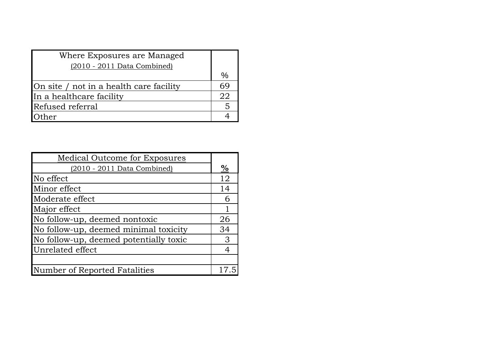| Where Exposures are Managed             |      |
|-----------------------------------------|------|
| $(2010 - 2011)$ Data Combined)          |      |
|                                         | $\%$ |
| On site / not in a health care facility | 69   |
| In a healthcare facility                | 22   |
| Refused referral                        | -5   |
| ther                                    |      |

| Medical Outcome for Exposures          |      |
|----------------------------------------|------|
| (2010 - 2011 Data Combined)            | $\%$ |
| No effect                              | 12   |
| Minor effect                           | 14   |
| Moderate effect                        | 6    |
| Major effect                           |      |
| No follow-up, deemed nontoxic          | 26   |
| No follow-up, deemed minimal toxicity  | 34   |
| No follow-up, deemed potentially toxic | 3    |
| Unrelated effect                       |      |
|                                        |      |
| Number of Reported Fatalities          |      |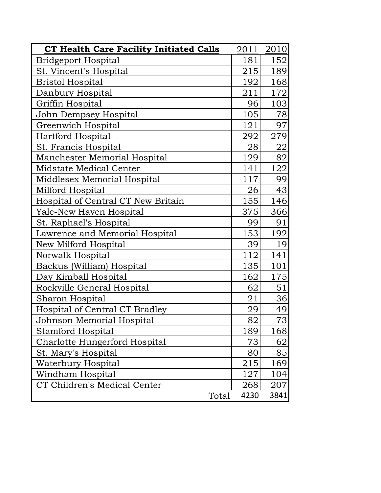| CT Health Care Facility Initiated Calls | 2011 | 2010   |
|-----------------------------------------|------|--------|
| <b>Bridgeport Hospital</b>              | 181  | 152    |
| St. Vincent's Hospital                  | 215  | 189    |
| <b>Bristol Hospital</b>                 | 192  | 168    |
| Danbury Hospital                        | 211  | 172    |
| Griffin Hospital                        | 96   | 103    |
| John Dempsey Hospital                   | 105  | 78     |
| Greenwich Hospital                      | 121  | 97     |
| Hartford Hospital                       | 292  | 279    |
| St. Francis Hospital                    | 28   | 22     |
| Manchester Memorial Hospital            | 129  | 82     |
| Midstate Medical Center                 | 141  | 122    |
| Middlesex Memorial Hospital             | 117  | 99     |
| Milford Hospital                        | 26   | 43     |
| Hospital of Central CT New Britain      | 155  | 146    |
| Yale-New Haven Hospital                 | 375  | 366    |
| St. Raphael's Hospital                  | 99   | 91     |
| Lawrence and Memorial Hospital          | 153  | 192    |
| New Milford Hospital                    | 39   | 19     |
| Norwalk Hospital                        | 112  | 141    |
| Backus (William) Hospital               | 135  | 101    |
| Day Kimball Hospital                    | 162  | 175    |
| Rockville General Hospital              | 62   | $51\,$ |
| Sharon Hospital                         | 21   | 36     |
| Hospital of Central CT Bradley          | 29   | 49     |
| <u> Johnson Memorial Hospital</u>       | 82   | 73     |
| Stamford Hospital                       | 189  | 168    |
| Charlotte Hungerford Hospital           | 73   | 62     |
| St. Mary's Hospital                     | 80   | 85     |
| Waterbury Hospital                      | 215  | 169    |
| Windham Hospital                        | 127  | 104    |
| CT Children's Medical Center            | 268  | 207    |
| Total                                   | 4230 | 3841   |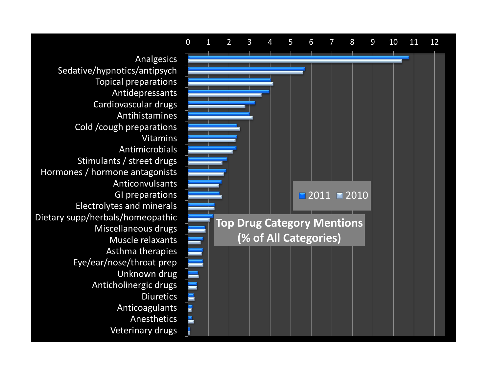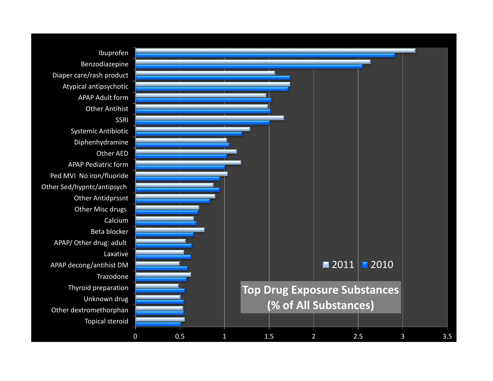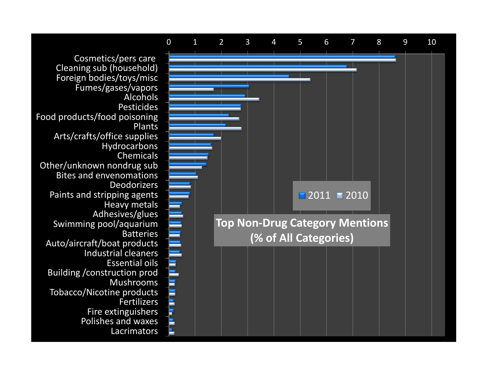